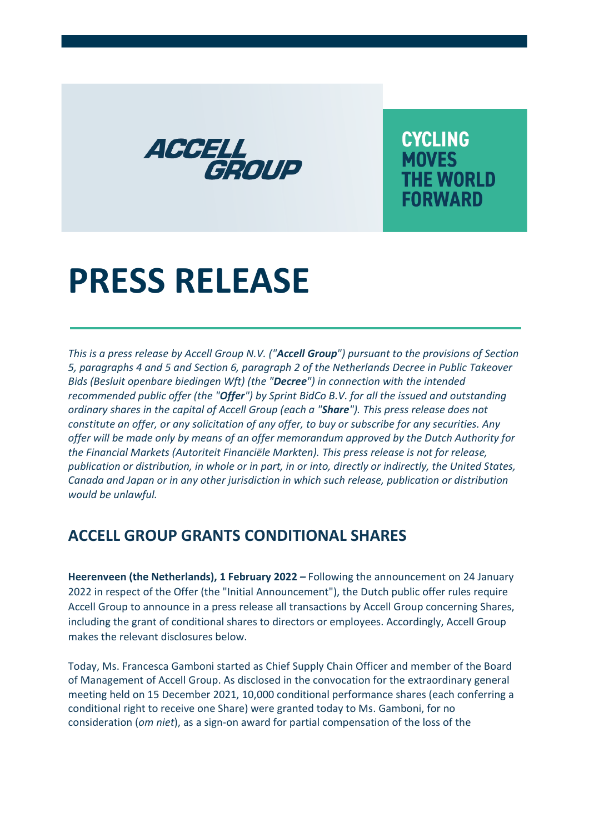

**CYCLING MOVES THE WORLD FORWARD** 

## **PRESS RELEASE**

*This is a press release by Accell Group N.V. ("Accell Group") pursuant to the provisions of Section 5, paragraphs 4 and 5 and Section 6, paragraph 2 of the Netherlands Decree in Public Takeover Bids (Besluit openbare biedingen Wft) (the "Decree") in connection with the intended recommended public offer (the "Offer") by Sprint BidCo B.V. for all the issued and outstanding ordinary shares in the capital of Accell Group (each a "Share"). This press release does not constitute an offer, or any solicitation of any offer, to buy or subscribe for any securities. Any offer will be made only by means of an offer memorandum approved by the Dutch Authority for the Financial Markets (Autoriteit Financiële Markten). This press release is not for release, publication or distribution, in whole or in part, in or into, directly or indirectly, the United States, Canada and Japan or in any other jurisdiction in which such release, publication or distribution would be unlawful.* 

## **ACCELL GROUP GRANTS CONDITIONAL SHARES**

**Heerenveen (the Netherlands), 1 February 2022 – Following the announcement on 24 January** 2022 in respect of the Offer (the "Initial Announcement"), the Dutch public offer rules require Accell Group to announce in a press release all transactions by Accell Group concerning Shares, including the grant of conditional shares to directors or employees. Accordingly, Accell Group makes the relevant disclosures below.

Today, Ms. Francesca Gamboni started as Chief Supply Chain Officer and member of the Board of Management of Accell Group. As disclosed in the convocation for the extraordinary general meeting held on 15 December 2021, 10,000 conditional performance shares (each conferring a conditional right to receive one Share) were granted today to Ms. Gamboni, for no consideration (*om niet*), as a sign-on award for partial compensation of the loss of the